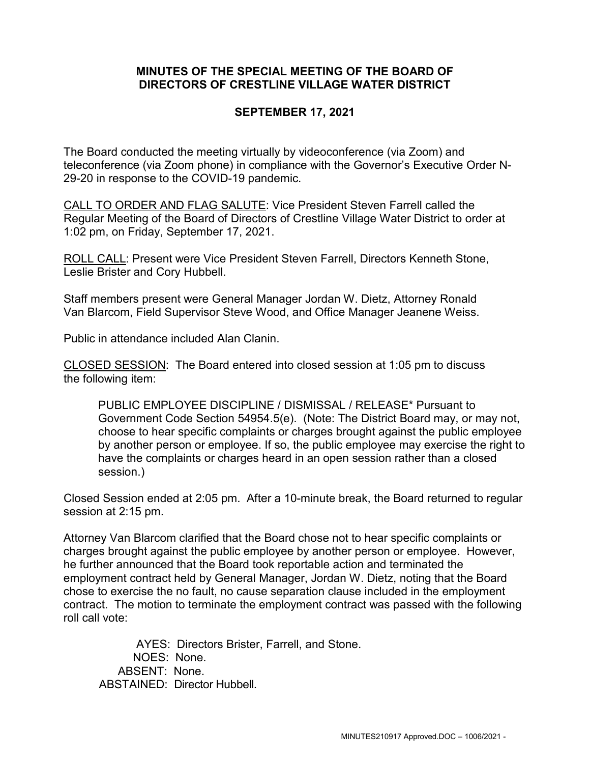## **MINUTES OF THE SPECIAL MEETING OF THE BOARD OF DIRECTORS OF CRESTLINE VILLAGE WATER DISTRICT**

## **SEPTEMBER 17, 2021**

The Board conducted the meeting virtually by videoconference (via Zoom) and teleconference (via Zoom phone) in compliance with the Governor's Executive Order N-29-20 in response to the COVID-19 pandemic.

CALL TO ORDER AND FLAG SALUTE: Vice President Steven Farrell called the Regular Meeting of the Board of Directors of Crestline Village Water District to order at 1:02 pm, on Friday, September 17, 2021.

ROLL CALL: Present were Vice President Steven Farrell, Directors Kenneth Stone, Leslie Brister and Cory Hubbell.

Staff members present were General Manager Jordan W. Dietz, Attorney Ronald Van Blarcom, Field Supervisor Steve Wood, and Office Manager Jeanene Weiss.

Public in attendance included Alan Clanin.

CLOSED SESSION: The Board entered into closed session at 1:05 pm to discuss the following item:

PUBLIC EMPLOYEE DISCIPLINE / DISMISSAL / RELEASE\* Pursuant to Government Code Section 54954.5(e). (Note: The District Board may, or may not, choose to hear specific complaints or charges brought against the public employee by another person or employee. If so, the public employee may exercise the right to have the complaints or charges heard in an open session rather than a closed session.)

Closed Session ended at 2:05 pm. After a 10-minute break, the Board returned to regular session at 2:15 pm.

Attorney Van Blarcom clarified that the Board chose not to hear specific complaints or charges brought against the public employee by another person or employee. However, he further announced that the Board took reportable action and terminated the employment contract held by General Manager, Jordan W. Dietz, noting that the Board chose to exercise the no fault, no cause separation clause included in the employment contract. The motion to terminate the employment contract was passed with the following roll call vote:

AYES: Directors Brister, Farrell, and Stone. NOES: None. ABSENT: None. ABSTAINED: Director Hubbell.